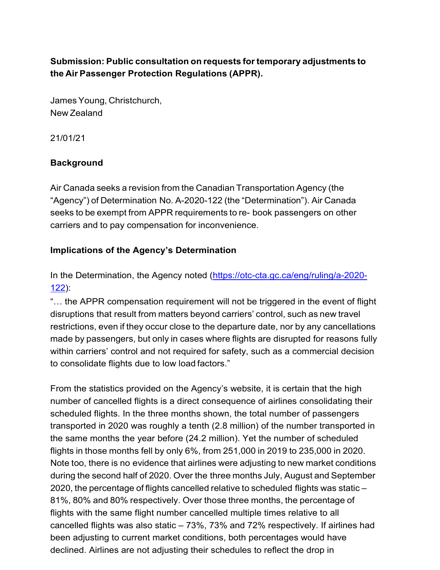# **Submission: Public consultation on requests fortemporary adjustments to the Air Passenger Protection Regulations (APPR).**

JamesYoung, Christchurch, New Zealand

21/01/21

# **Background**

Air Canada seeks a revision from the Canadian Transportation Agency (the "Agency") of Determination No. A-2020-122 (the "Determination"). Air Canada seeks to be exempt from APPR requirements to re- book passengers on other carriers and to pay compensation for inconvenience.

## **Implications of the Agency's Determinati[on](https://otc-cta.gc.ca/eng/ruling/a-2020-122)**

In the Determination, the Agency noted [\(https://otc-cta.gc.ca/eng/ruling/a-2020-](https://otc-cta.gc.ca/eng/ruling/a-2020-122) [122\)](https://otc-cta.gc.ca/eng/ruling/a-2020-122):

"… the APPR compensation requirement will not be triggered in the event of flight disruptions that result from matters beyond carriers' control, such as new travel restrictions, even if they occur close to the departure date, nor by any cancellations made by passengers, but only in cases where flights are disrupted for reasons fully within carriers' control and not required for safety, such as a commercial decision to consolidate flights due to low load factors."

From the statistics provided on the Agency's website, it is certain that the high number of cancelled flights is a direct consequence of airlines consolidating their scheduled flights. In the three months shown, the total number of passengers transported in 2020 was roughly a tenth (2.8 million) of the number transported in the same months the year before (24.2 million). Yet the number of scheduled flights in those months fell by only 6%, from 251,000 in 2019 to 235,000 in 2020. Note too, there is no evidence that airlines were adjusting to new market conditions during the second half of 2020. Over the three months July, August and September 2020, the percentage of flights cancelled relative to scheduled flights was static – 81%, 80% and 80% respectively. Over those three months, the percentage of flights with the same flight number cancelled multiple times relative to all cancelled flights was also static – 73%, 73% and 72% respectively. If airlines had been adjusting to current market conditions, both percentages would have declined. Airlines are not adjusting their schedules to reflect the drop in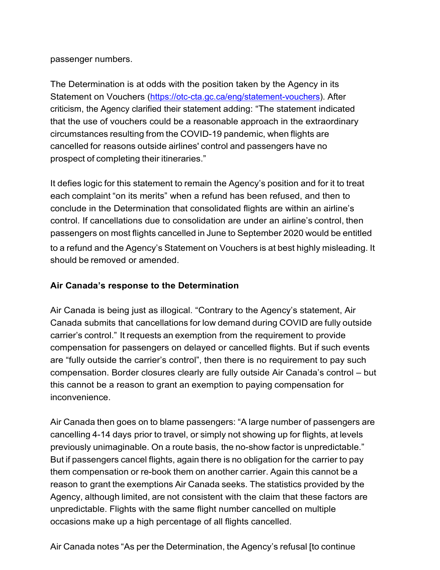passenger numbers.

The [Determination is at odds with the position t](https://otc-cta.gc.ca/eng/statement-vouchers)aken by the Agency in its Statement on Vouchers [\(https://otc-cta.gc.ca/eng/statement-vouchers\)](https://otc-cta.gc.ca/eng/statement-vouchers). After criticism, the Agency clarified their statement adding: "The statement indicated that the use of vouchers could be a reasonable approach in the extraordinary circumstances resulting from the COVID-19 pandemic, when flights are cancelled for reasons outside airlines' control and passengers have no prospect of completing their itineraries."

It defies logic for this statement to remain the Agency's position and for it to treat each complaint "on its merits" when a refund has been refused, and then to conclude in the Determination that consolidated flights are within an airline's control. If cancellations due to consolidation are under an airline's control, then passengers on most flights cancelled in June to September 2020 would be entitled to a refund and the Agency's Statement on Vouchers is at best highly misleading. It should be removed or amended.

### **Air Canada's response to the Determination**

Air Canada is being just as illogical. "Contrary to the Agency's statement, Air Canada submits that cancellations for low demand during COVID are fully outside carrier's control." It requests an exemption from the requirement to provide compensation for passengers on delayed or cancelled flights. But if such events are "fully outside the carrier's control", then there is no requirement to pay such compensation. Border closures clearly are fully outside Air Canada's control – but this cannot be a reason to grant an exemption to paying compensation for inconvenience.

Air Canada then goes on to blame passengers: "A large number of passengers are cancelling 4-14 days prior to travel, or simply not showing up for flights, at levels previously unimaginable. On a route basis, the no-show factor is unpredictable." But if passengers cancel flights, again there is no obligation for the carrier to pay them compensation or re-book them on another carrier. Again this cannot be a reason to grant the exemptions Air Canada seeks. The statistics provided by the Agency, although limited, are not consistent with the claim that these factors are unpredictable. Flights with the same flight number cancelled on multiple occasions make up a high percentage of all flights cancelled.

Air Canada notes "As per the Determination, the Agency's refusal [to continue